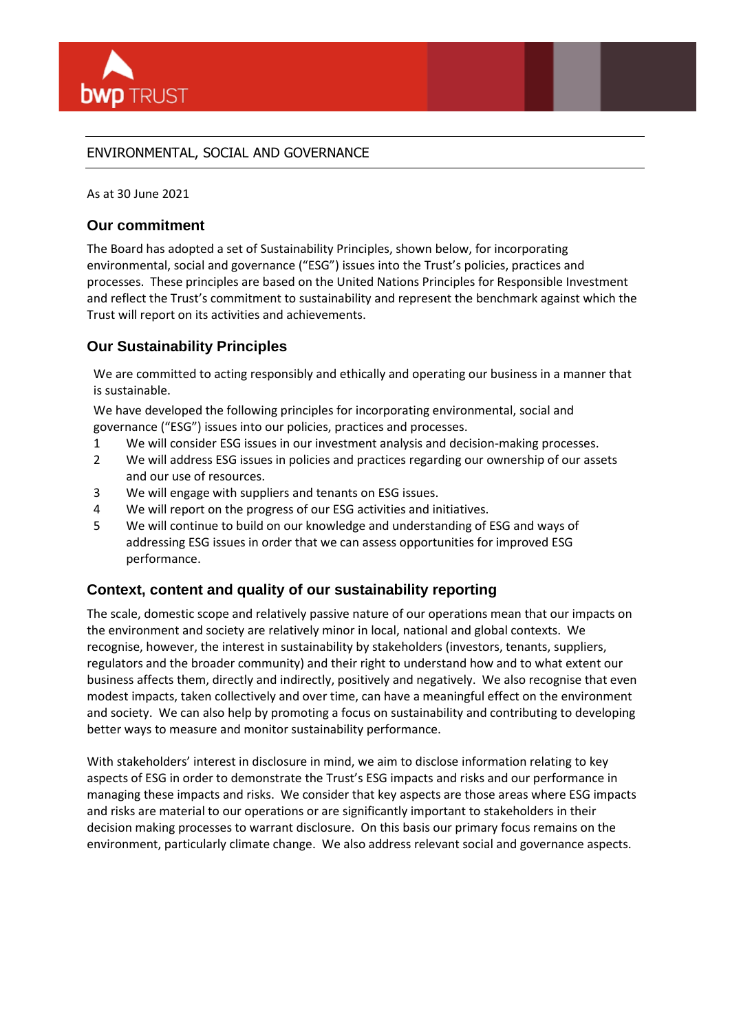

# ENVIRONMENTAL, SOCIAL AND GOVERNANCE

As at 30 June 2021

# **Our commitment**

The Board has adopted a set of Sustainability Principles, shown below, for incorporating environmental, social and governance ("ESG") issues into the Trust's policies, practices and processes. These principles are based on the United Nations Principles for Responsible Investment and reflect the Trust's commitment to sustainability and represent the benchmark against which the Trust will report on its activities and achievements.

# **Our Sustainability Principles**

We are committed to acting responsibly and ethically and operating our business in a manner that is sustainable.

We have developed the following principles for incorporating environmental, social and governance ("ESG") issues into our policies, practices and processes.

- 1 We will consider ESG issues in our investment analysis and decision-making processes.
- 2 We will address ESG issues in policies and practices regarding our ownership of our assets and our use of resources.
- 3 We will engage with suppliers and tenants on ESG issues.
- 4 We will report on the progress of our ESG activities and initiatives.
- 5 We will continue to build on our knowledge and understanding of ESG and ways of addressing ESG issues in order that we can assess opportunities for improved ESG performance.

# **Context, content and quality of our sustainability reporting**

The scale, domestic scope and relatively passive nature of our operations mean that our impacts on the environment and society are relatively minor in local, national and global contexts. We recognise, however, the interest in sustainability by stakeholders (investors, tenants, suppliers, regulators and the broader community) and their right to understand how and to what extent our business affects them, directly and indirectly, positively and negatively. We also recognise that even modest impacts, taken collectively and over time, can have a meaningful effect on the environment and society. We can also help by promoting a focus on sustainability and contributing to developing better ways to measure and monitor sustainability performance.

With stakeholders' interest in disclosure in mind, we aim to disclose information relating to key aspects of ESG in order to demonstrate the Trust's ESG impacts and risks and our performance in managing these impacts and risks. We consider that key aspects are those areas where ESG impacts and risks are material to our operations or are significantly important to stakeholders in their decision making processes to warrant disclosure. On this basis our primary focus remains on the environment, particularly climate change. We also address relevant social and governance aspects.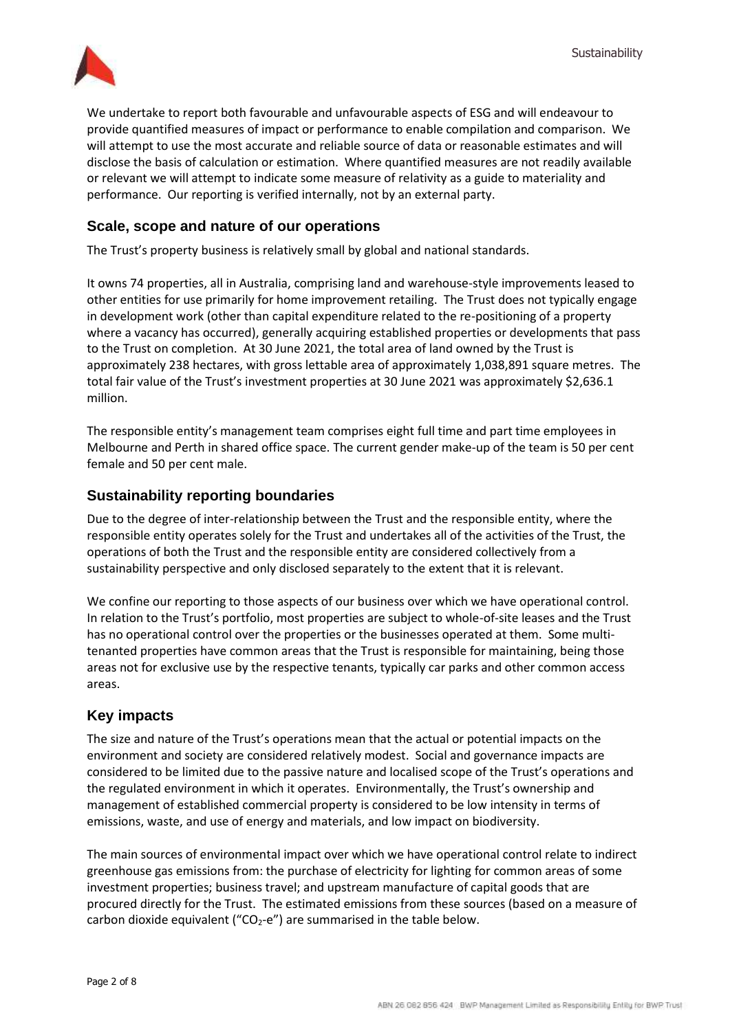

We undertake to report both favourable and unfavourable aspects of ESG and will endeavour to provide quantified measures of impact or performance to enable compilation and comparison. We will attempt to use the most accurate and reliable source of data or reasonable estimates and will disclose the basis of calculation or estimation. Where quantified measures are not readily available or relevant we will attempt to indicate some measure of relativity as a guide to materiality and performance. Our reporting is verified internally, not by an external party.

## **Scale, scope and nature of our operations**

The Trust's property business is relatively small by global and national standards.

It owns 74 properties, all in Australia, comprising land and warehouse-style improvements leased to other entities for use primarily for home improvement retailing. The Trust does not typically engage in development work (other than capital expenditure related to the re-positioning of a property where a vacancy has occurred), generally acquiring established properties or developments that pass to the Trust on completion. At 30 June 2021, the total area of land owned by the Trust is approximately 238 hectares, with gross lettable area of approximately 1,038,891 square metres. The total fair value of the Trust's investment properties at 30 June 2021 was approximately \$2,636.1 million.

The responsible entity's management team comprises eight full time and part time employees in Melbourne and Perth in shared office space. The current gender make-up of the team is 50 per cent female and 50 per cent male.

## **Sustainability reporting boundaries**

Due to the degree of inter-relationship between the Trust and the responsible entity, where the responsible entity operates solely for the Trust and undertakes all of the activities of the Trust, the operations of both the Trust and the responsible entity are considered collectively from a sustainability perspective and only disclosed separately to the extent that it is relevant.

We confine our reporting to those aspects of our business over which we have operational control. In relation to the Trust's portfolio, most properties are subject to whole-of-site leases and the Trust has no operational control over the properties or the businesses operated at them. Some multitenanted properties have common areas that the Trust is responsible for maintaining, being those areas not for exclusive use by the respective tenants, typically car parks and other common access areas.

## **Key impacts**

The size and nature of the Trust's operations mean that the actual or potential impacts on the environment and society are considered relatively modest. Social and governance impacts are considered to be limited due to the passive nature and localised scope of the Trust's operations and the regulated environment in which it operates. Environmentally, the Trust's ownership and management of established commercial property is considered to be low intensity in terms of emissions, waste, and use of energy and materials, and low impact on biodiversity.

The main sources of environmental impact over which we have operational control relate to indirect greenhouse gas emissions from: the purchase of electricity for lighting for common areas of some investment properties; business travel; and upstream manufacture of capital goods that are procured directly for the Trust. The estimated emissions from these sources (based on a measure of carbon dioxide equivalent (" $CO<sub>2</sub>-e$ ") are summarised in the table below.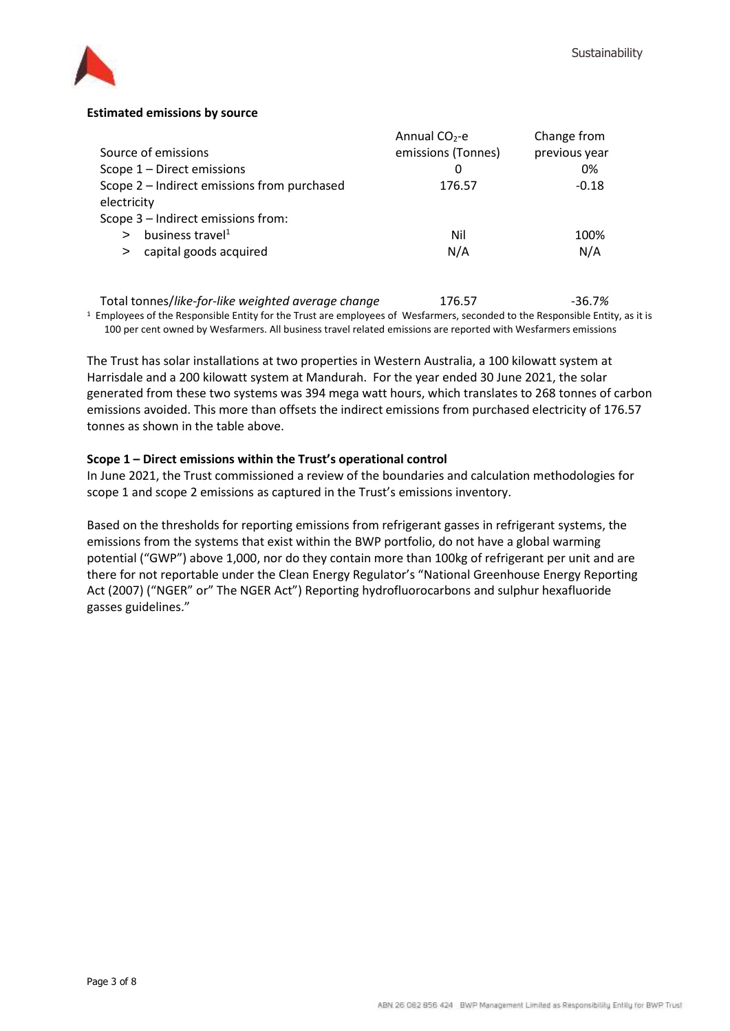

## **Estimated emissions by source**

|                                             | Annual $CO2$ -e    | Change from   |
|---------------------------------------------|--------------------|---------------|
| Source of emissions                         | emissions (Tonnes) | previous year |
| Scope 1 - Direct emissions                  | 0                  | 0%            |
| Scope 2 - Indirect emissions from purchased | 176.57             | $-0.18$       |
| electricity                                 |                    |               |
| Scope 3 - Indirect emissions from:          |                    |               |
| business travel <sup>1</sup>                | Nil                | 100%          |
| capital goods acquired<br>$\geq$            | N/A                | N/A           |
|                                             |                    |               |

Total tonnes/like-for-like weighted average change 176.57 - 36.7% 1 Employees of the Responsible Entity for the Trust are employees of Wesfarmers, seconded to the Responsible Entity, as it is

100 per cent owned by Wesfarmers. All business travel related emissions are reported with Wesfarmers emissions

The Trust has solar installations at two properties in Western Australia, a 100 kilowatt system at Harrisdale and a 200 kilowatt system at Mandurah. For the year ended 30 June 2021, the solar generated from these two systems was 394 mega watt hours, which translates to 268 tonnes of carbon emissions avoided. This more than offsets the indirect emissions from purchased electricity of 176.57 tonnes as shown in the table above.

## **Scope 1 – Direct emissions within the Trust's operational control**

In June 2021, the Trust commissioned a review of the boundaries and calculation methodologies for scope 1 and scope 2 emissions as captured in the Trust's emissions inventory.

Based on the thresholds for reporting emissions from refrigerant gasses in refrigerant systems, the emissions from the systems that exist within the BWP portfolio, do not have a global warming potential ("GWP") above 1,000, nor do they contain more than 100kg of refrigerant per unit and are there for not reportable under the Clean Energy Regulator's "National Greenhouse Energy Reporting Act (2007) ("NGER" or" The NGER Act") Reporting hydrofluorocarbons and sulphur hexafluoride gasses guidelines."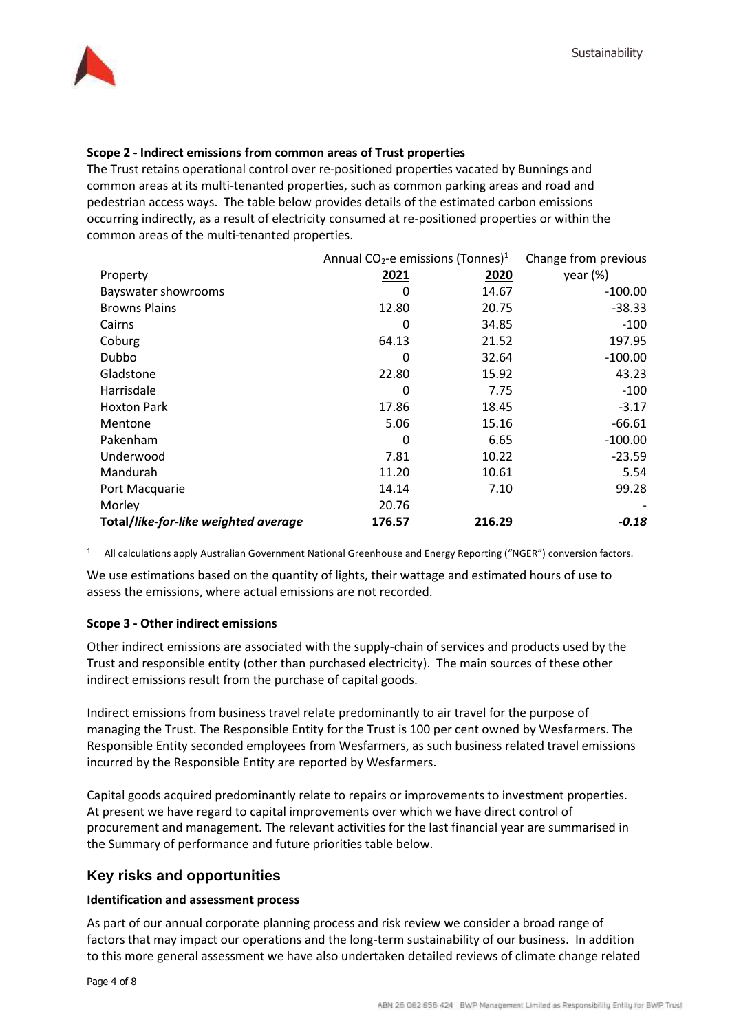

## **Scope 2 - Indirect emissions from common areas of Trust properties**

The Trust retains operational control over re-positioned properties vacated by Bunnings and common areas at its multi-tenanted properties, such as common parking areas and road and pedestrian access ways. The table below provides details of the estimated carbon emissions occurring indirectly, as a result of electricity consumed at re-positioned properties or within the common areas of the multi-tenanted properties.

|                                      | Annual CO <sub>2</sub> -e emissions (Tonnes) <sup>1</sup> |        | Change from previous |
|--------------------------------------|-----------------------------------------------------------|--------|----------------------|
| Property                             | 2021                                                      | 2020   | year $(\%)$          |
| Bayswater showrooms                  | O                                                         | 14.67  | $-100.00$            |
| <b>Browns Plains</b>                 | 12.80                                                     | 20.75  | $-38.33$             |
| Cairns                               | 0                                                         | 34.85  | $-100$               |
| Coburg                               | 64.13                                                     | 21.52  | 197.95               |
| Dubbo                                | 0                                                         | 32.64  | $-100.00$            |
| Gladstone                            | 22.80                                                     | 15.92  | 43.23                |
| Harrisdale                           | 0                                                         | 7.75   | $-100$               |
| <b>Hoxton Park</b>                   | 17.86                                                     | 18.45  | $-3.17$              |
| Mentone                              | 5.06                                                      | 15.16  | $-66.61$             |
| Pakenham                             | 0                                                         | 6.65   | $-100.00$            |
| Underwood                            | 7.81                                                      | 10.22  | $-23.59$             |
| Mandurah                             | 11.20                                                     | 10.61  | 5.54                 |
| Port Macquarie                       | 14.14                                                     | 7.10   | 99.28                |
| Morley                               | 20.76                                                     |        |                      |
| Total/like-for-like weighted average | 176.57                                                    | 216.29 | $-0.18$              |

1 All calculations apply Australian Government National Greenhouse and Energy Reporting ("NGER") conversion factors.

We use estimations based on the quantity of lights, their wattage and estimated hours of use to assess the emissions, where actual emissions are not recorded.

## **Scope 3 - Other indirect emissions**

Other indirect emissions are associated with the supply-chain of services and products used by the Trust and responsible entity (other than purchased electricity). The main sources of these other indirect emissions result from the purchase of capital goods.

Indirect emissions from business travel relate predominantly to air travel for the purpose of managing the Trust. The Responsible Entity for the Trust is 100 per cent owned by Wesfarmers. The Responsible Entity seconded employees from Wesfarmers, as such business related travel emissions incurred by the Responsible Entity are reported by Wesfarmers.

Capital goods acquired predominantly relate to repairs or improvements to investment properties. At present we have regard to capital improvements over which we have direct control of procurement and management. The relevant activities for the last financial year are summarised in the Summary of performance and future priorities table below.

# **Key risks and opportunities**

## **Identification and assessment process**

As part of our annual corporate planning process and risk review we consider a broad range of factors that may impact our operations and the long-term sustainability of our business. In addition to this more general assessment we have also undertaken detailed reviews of climate change related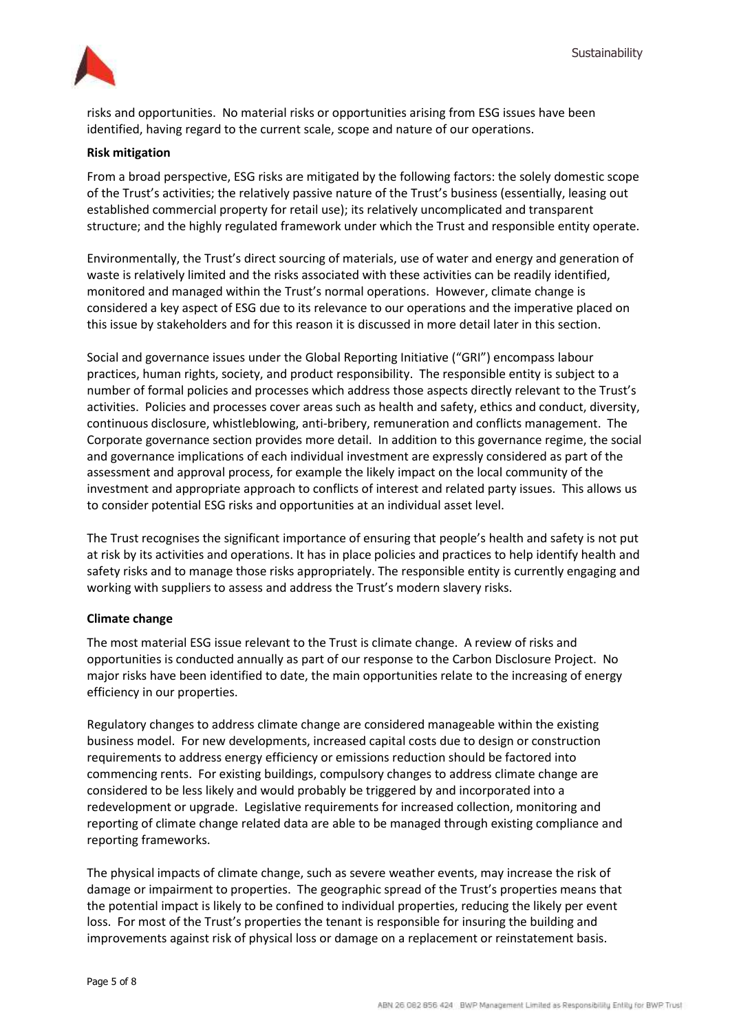

risks and opportunities. No material risks or opportunities arising from ESG issues have been identified, having regard to the current scale, scope and nature of our operations.

#### **Risk mitigation**

From a broad perspective, ESG risks are mitigated by the following factors: the solely domestic scope of the Trust's activities; the relatively passive nature of the Trust's business (essentially, leasing out established commercial property for retail use); its relatively uncomplicated and transparent structure; and the highly regulated framework under which the Trust and responsible entity operate.

Environmentally, the Trust's direct sourcing of materials, use of water and energy and generation of waste is relatively limited and the risks associated with these activities can be readily identified, monitored and managed within the Trust's normal operations. However, climate change is considered a key aspect of ESG due to its relevance to our operations and the imperative placed on this issue by stakeholders and for this reason it is discussed in more detail later in this section.

Social and governance issues under the Global Reporting Initiative ("GRI") encompass labour practices, human rights, society, and product responsibility. The responsible entity is subject to a number of formal policies and processes which address those aspects directly relevant to the Trust's activities. Policies and processes cover areas such as health and safety, ethics and conduct, diversity, continuous disclosure, whistleblowing, anti-bribery, remuneration and conflicts management. The Corporate governance section provides more detail. In addition to this governance regime, the social and governance implications of each individual investment are expressly considered as part of the assessment and approval process, for example the likely impact on the local community of the investment and appropriate approach to conflicts of interest and related party issues. This allows us to consider potential ESG risks and opportunities at an individual asset level.

The Trust recognises the significant importance of ensuring that people's health and safety is not put at risk by its activities and operations. It has in place policies and practices to help identify health and safety risks and to manage those risks appropriately. The responsible entity is currently engaging and working with suppliers to assess and address the Trust's modern slavery risks.

#### **Climate change**

The most material ESG issue relevant to the Trust is climate change. A review of risks and opportunities is conducted annually as part of our response to the Carbon Disclosure Project. No major risks have been identified to date, the main opportunities relate to the increasing of energy efficiency in our properties.

Regulatory changes to address climate change are considered manageable within the existing business model. For new developments, increased capital costs due to design or construction requirements to address energy efficiency or emissions reduction should be factored into commencing rents. For existing buildings, compulsory changes to address climate change are considered to be less likely and would probably be triggered by and incorporated into a redevelopment or upgrade. Legislative requirements for increased collection, monitoring and reporting of climate change related data are able to be managed through existing compliance and reporting frameworks.

The physical impacts of climate change, such as severe weather events, may increase the risk of damage or impairment to properties. The geographic spread of the Trust's properties means that the potential impact is likely to be confined to individual properties, reducing the likely per event loss. For most of the Trust's properties the tenant is responsible for insuring the building and improvements against risk of physical loss or damage on a replacement or reinstatement basis.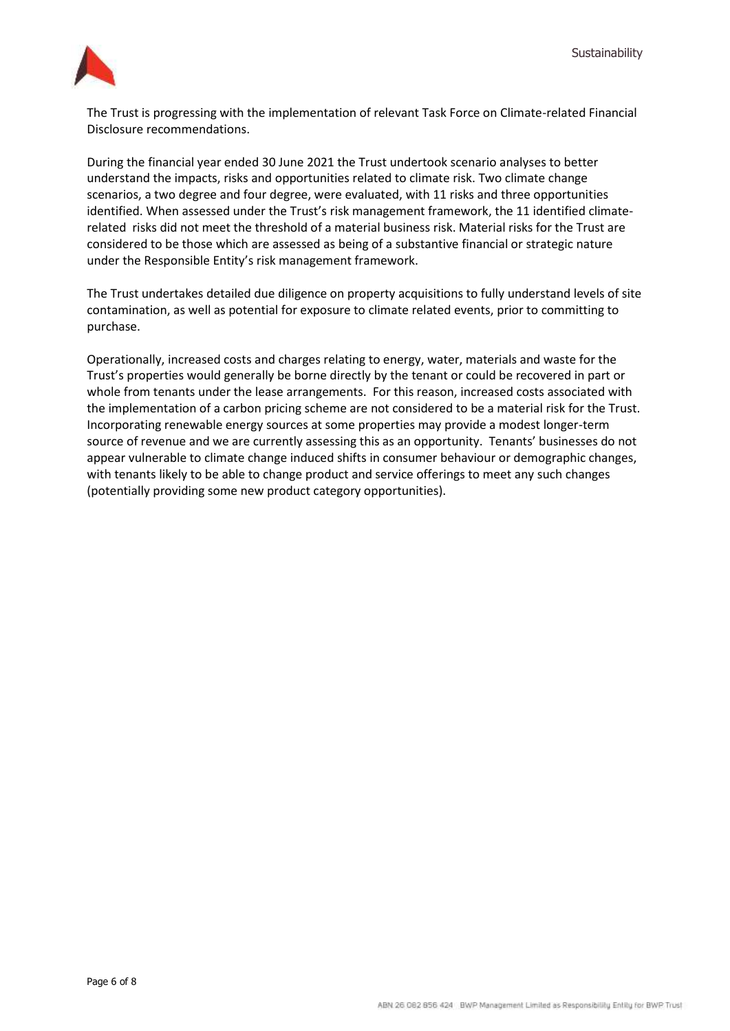

The Trust is progressing with the implementation of relevant Task Force on Climate-related Financial Disclosure recommendations.

During the financial year ended 30 June 2021 the Trust undertook scenario analyses to better understand the impacts, risks and opportunities related to climate risk. Two climate change scenarios, a two degree and four degree, were evaluated, with 11 risks and three opportunities identified. When assessed under the Trust's risk management framework, the 11 identified climaterelated risks did not meet the threshold of a material business risk. Material risks for the Trust are considered to be those which are assessed as being of a substantive financial or strategic nature under the Responsible Entity's risk management framework.

The Trust undertakes detailed due diligence on property acquisitions to fully understand levels of site contamination, as well as potential for exposure to climate related events, prior to committing to purchase.

Operationally, increased costs and charges relating to energy, water, materials and waste for the Trust's properties would generally be borne directly by the tenant or could be recovered in part or whole from tenants under the lease arrangements. For this reason, increased costs associated with the implementation of a carbon pricing scheme are not considered to be a material risk for the Trust. Incorporating renewable energy sources at some properties may provide a modest longer-term source of revenue and we are currently assessing this as an opportunity. Tenants' businesses do not appear vulnerable to climate change induced shifts in consumer behaviour or demographic changes, with tenants likely to be able to change product and service offerings to meet any such changes (potentially providing some new product category opportunities).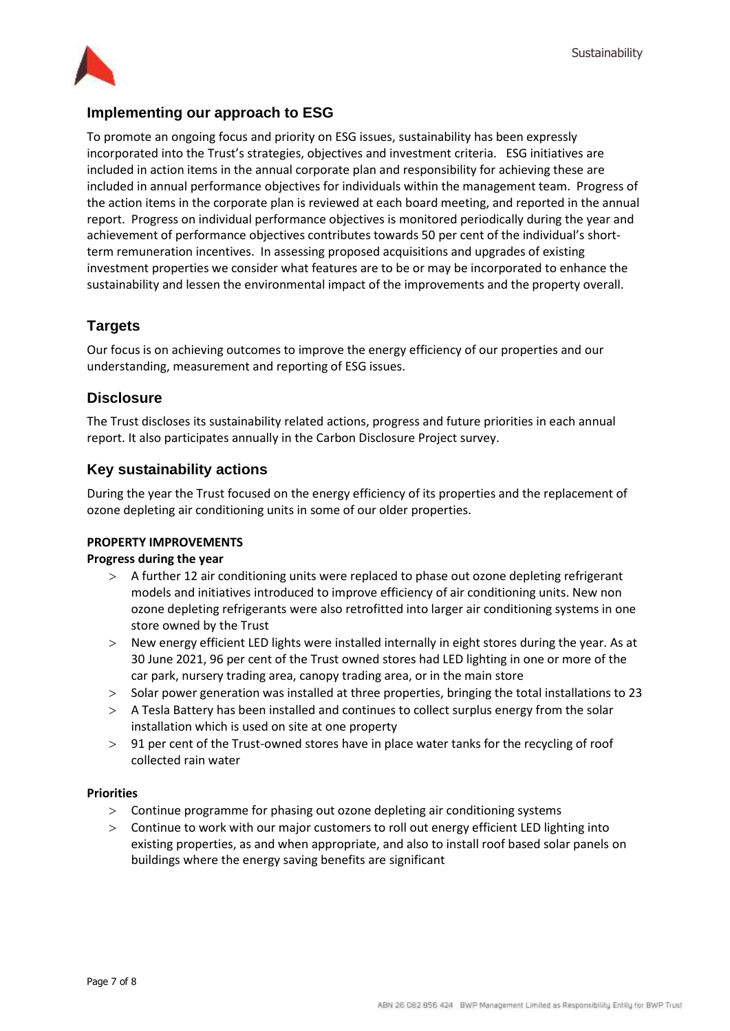

## **Implementing our approach to ESG**

To promote an ongoing focus and priority on ESG issues, sustainability has been expressly incorporated into the Trust's strategies, objectives and investment criteria. ESG initiatives are included in action items in the annual corporate plan and responsibility for achieving these are included in annual performance objectives for individuals within the management team. Progress of the action items in the corporate plan is reviewed at each board meeting, and reported in the annual report. Progress on individual performance objectives is monitored periodically during the year and achievement of performance objectives contributes towards 50 per cent of the individual's shortterm remuneration incentives. In assessing proposed acquisitions and upgrades of existing investment properties we consider what features are to be or may be incorporated to enhance the sustainability and lessen the environmental impact of the improvements and the property overall.

# **Targets**

Our focus is on achieving outcomes to improve the energy efficiency of our properties and our understanding, measurement and reporting of ESG issues.

## **Disclosure**

The Trust discloses its sustainability related actions, progress and future priorities in each annual report. It also participates annually in the Carbon Disclosure Project survey.

## **Key sustainability actions**

During the year the Trust focused on the energy efficiency of its properties and the replacement of ozone depleting air conditioning units in some of our older properties.

## **PROPERTY IMPROVEMENTS**

## **Progress during the year**

- A further 12 air conditioning units were replaced to phase out ozone depleting refrigerant models and initiatives introduced to improve efficiency of air conditioning units. New non ozone depleting refrigerants were also retrofitted into larger air conditioning systems in one store owned by the Trust
- New energy efficient LED lights were installed internally in eight stores during the year. As at 30 June 2021, 96 per cent of the Trust owned stores had LED lighting in one or more of the car park, nursery trading area, canopy trading area, or in the main store
- > Solar power generation was installed at three properties, bringing the total installations to 23
- A Tesla Battery has been installed and continues to collect surplus energy from the solar installation which is used on site at one property
- > 91 per cent of the Trust-owned stores have in place water tanks for the recycling of roof collected rain water

## **Priorities**

- Continue programme for phasing out ozone depleting air conditioning systems
- Continue to work with our major customers to roll out energy efficient LED lighting into existing properties, as and when appropriate, and also to install roof based solar panels on buildings where the energy saving benefits are significant